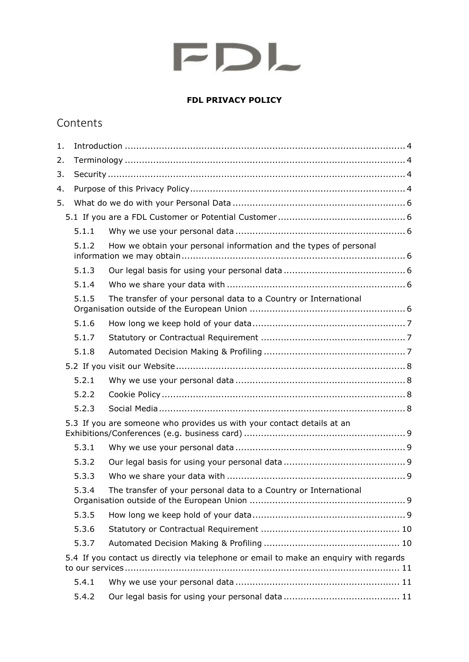## **FDL PRIVACY POLICY**

## Contents

| 1. |       |                                                                                       |  |
|----|-------|---------------------------------------------------------------------------------------|--|
| 2. |       |                                                                                       |  |
| 3. |       |                                                                                       |  |
| 4. |       |                                                                                       |  |
| 5. |       |                                                                                       |  |
|    |       |                                                                                       |  |
|    | 5.1.1 |                                                                                       |  |
|    | 5.1.2 | How we obtain your personal information and the types of personal                     |  |
|    | 5.1.3 |                                                                                       |  |
|    | 5.1.4 |                                                                                       |  |
|    | 5.1.5 | The transfer of your personal data to a Country or International                      |  |
|    | 5.1.6 |                                                                                       |  |
|    | 5.1.7 |                                                                                       |  |
|    | 5.1.8 |                                                                                       |  |
|    |       |                                                                                       |  |
|    | 5.2.1 |                                                                                       |  |
|    | 5.2.2 |                                                                                       |  |
|    | 5.2.3 |                                                                                       |  |
|    |       | 5.3 If you are someone who provides us with your contact details at an                |  |
|    | 5.3.1 |                                                                                       |  |
|    | 5.3.2 |                                                                                       |  |
|    | 5.3.3 |                                                                                       |  |
|    | 5.3.4 | The transfer of your personal data to a Country or International                      |  |
|    | 5.3.5 |                                                                                       |  |
|    | 5.3.6 |                                                                                       |  |
|    | 5.3.7 |                                                                                       |  |
|    |       | 5.4 If you contact us directly via telephone or email to make an enquiry with regards |  |
|    | 5.4.1 |                                                                                       |  |
|    | 5.4.2 |                                                                                       |  |
|    |       |                                                                                       |  |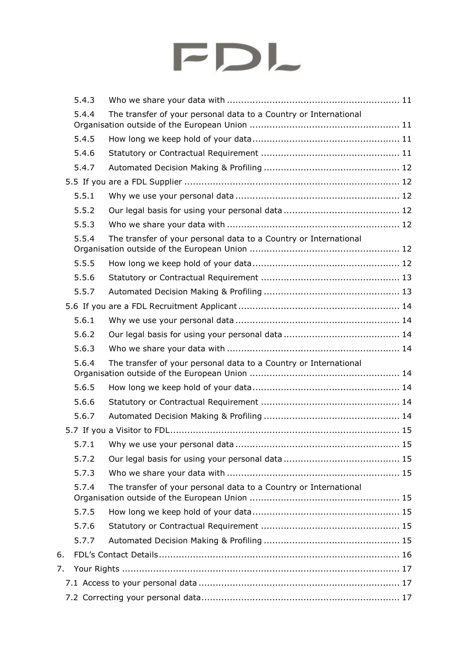|    | 5.4.3 |                                                                  |
|----|-------|------------------------------------------------------------------|
|    | 5.4.4 | The transfer of your personal data to a Country or International |
|    | 5.4.5 |                                                                  |
|    | 5.4.6 |                                                                  |
|    | 5.4.7 |                                                                  |
|    |       |                                                                  |
|    | 5.5.1 |                                                                  |
|    | 5.5.2 |                                                                  |
|    | 5.5.3 |                                                                  |
|    | 5.5.4 | The transfer of your personal data to a Country or International |
|    | 5.5.5 |                                                                  |
|    | 5.5.6 |                                                                  |
|    | 5.5.7 |                                                                  |
|    |       |                                                                  |
|    | 5.6.1 |                                                                  |
|    | 5.6.2 |                                                                  |
|    | 5.6.3 |                                                                  |
|    | 5.6.4 | The transfer of your personal data to a Country or International |
|    | 5.6.5 |                                                                  |
|    | 5.6.6 |                                                                  |
|    | 5.6.7 |                                                                  |
|    |       |                                                                  |
|    | 5.7.1 |                                                                  |
|    | 5.7.2 |                                                                  |
|    | 5.7.3 |                                                                  |
|    | 5.7.4 | The transfer of your personal data to a Country or International |
|    | 5.7.5 |                                                                  |
|    | 5.7.6 |                                                                  |
|    | 5.7.7 |                                                                  |
| 6. |       |                                                                  |
| 7. |       |                                                                  |
|    |       |                                                                  |
|    |       |                                                                  |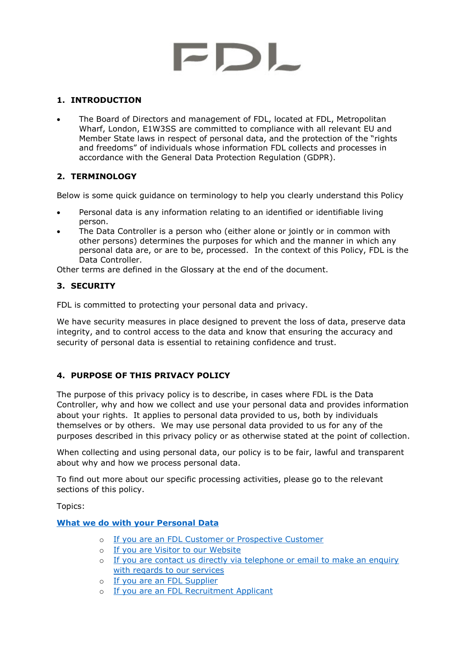## <span id="page-3-0"></span>**1. INTRODUCTION**

• The Board of Directors and management of FDL, located at FDL, Metropolitan Wharf, London, E1W3SS are committed to compliance with all relevant EU and Member State laws in respect of personal data, and the protection of the "rights and freedoms" of individuals whose information FDL collects and processes in accordance with the General Data Protection Regulation (GDPR).

## <span id="page-3-1"></span>**2. TERMINOLOGY**

Below is some quick guidance on terminology to help you clearly understand this Policy

- Personal data is any information relating to an identified or identifiable living person.
- The Data Controller is a person who (either alone or jointly or in common with other persons) determines the purposes for which and the manner in which any personal data are, or are to be, processed. In the context of this Policy, FDL is the Data Controller.

Other terms are defined in the Glossary at the end of the document.

## <span id="page-3-2"></span>**3. SECURITY**

FDL is committed to protecting your personal data and privacy.

We have security measures in place designed to prevent the loss of data, preserve data integrity, and to control access to the data and know that ensuring the accuracy and security of personal data is essential to retaining confidence and trust.

## <span id="page-3-3"></span>**4. PURPOSE OF THIS PRIVACY POLICY**

The purpose of this privacy policy is to describe, in cases where FDL is the Data Controller, why and how we collect and use your personal data and provides information about your rights. It applies to personal data provided to us, both by individuals themselves or by others. We may use personal data provided to us for any of the purposes described in this privacy policy or as otherwise stated at the point of collection.

When collecting and using personal data, our policy is to be fair, lawful and transparent about why and how we process personal data.

To find out more about our specific processing activities, please go to the relevant sections of this policy.

Topics:

## **[What we do with your Personal Data](#page-4-0)**

- o If you are an FDL [Customer or Prospective Customer](#page-5-1)
- o [If you are Visitor to our Website](#page-6-3)
- o [If you are contact us directly via telephone or email to make an enquiry](#page-9-2)  [with regards to our services](#page-9-2)
- o [If you are an](#page-11-1) FDL Supplier
- o If you are an FDL [Recruitment Applicant](#page-12-2)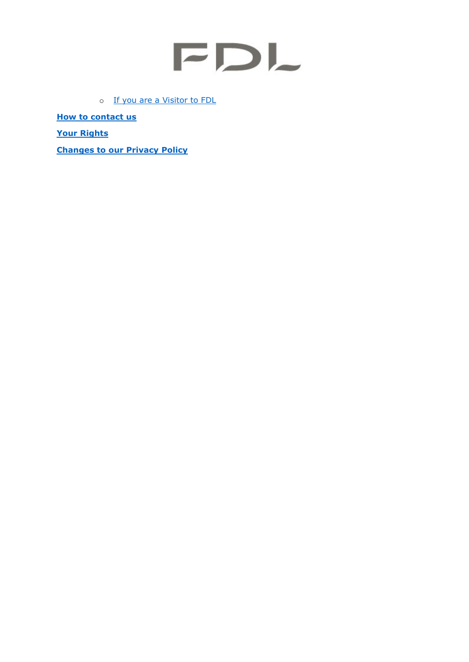o [If you are a Visitor to FDL](#page-13-8)

**[How to contact us](http://fdlworld.com/contact-us/)**

**[Your Rights](#page-15-1)**

<span id="page-4-0"></span>**[Changes to our Privacy Policy](#page-17-2)**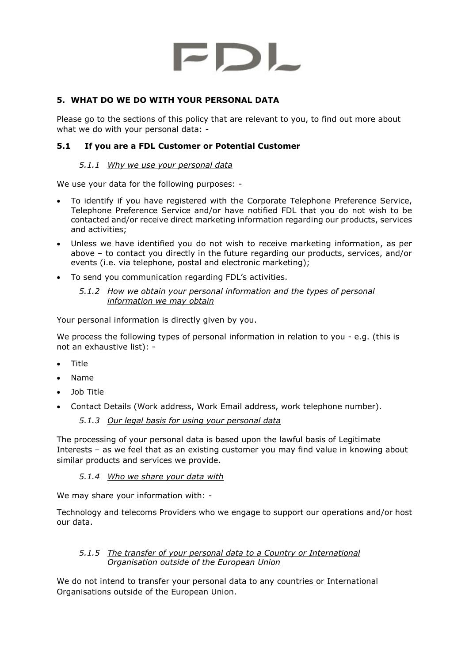## <span id="page-5-0"></span>**5. WHAT DO WE DO WITH YOUR PERSONAL DATA**

Please go to the sections of this policy that are relevant to you, to find out more about what we do with your personal data: -

## <span id="page-5-2"></span><span id="page-5-1"></span>**5.1 If you are a FDL Customer or Potential Customer**

#### *5.1.1 Why we use your personal data*

We use your data for the following purposes: -

- To identify if you have registered with the Corporate Telephone Preference Service, Telephone Preference Service and/or have notified FDL that you do not wish to be contacted and/or receive direct marketing information regarding our products, services and activities;
- Unless we have identified you do not wish to receive marketing information, as per above – to contact you directly in the future regarding our products, services, and/or events (i.e. via telephone, postal and electronic marketing);
- <span id="page-5-3"></span>• To send you communication regarding FDL's activities.
	- *5.1.2 How we obtain your personal information and the types of personal information we may obtain*

Your personal information is directly given by you.

We process the following types of personal information in relation to you - e.g. (this is not an exhaustive list): -

- Title
- Name
- Job Title
- <span id="page-5-4"></span>• Contact Details (Work address, Work Email address, work telephone number).

## *5.1.3 Our legal basis for using your personal data*

The processing of your personal data is based upon the lawful basis of Legitimate Interests – as we feel that as an existing customer you may find value in knowing about similar products and services we provide.

## *5.1.4 Who we share your data with*

<span id="page-5-5"></span>We may share your information with: -

Technology and telecoms Providers who we engage to support our operations and/or host our data.

#### <span id="page-5-6"></span>*5.1.5 The transfer of your personal data to a Country or International Organisation outside of the European Union*

We do not intend to transfer your personal data to any countries or International Organisations outside of the European Union.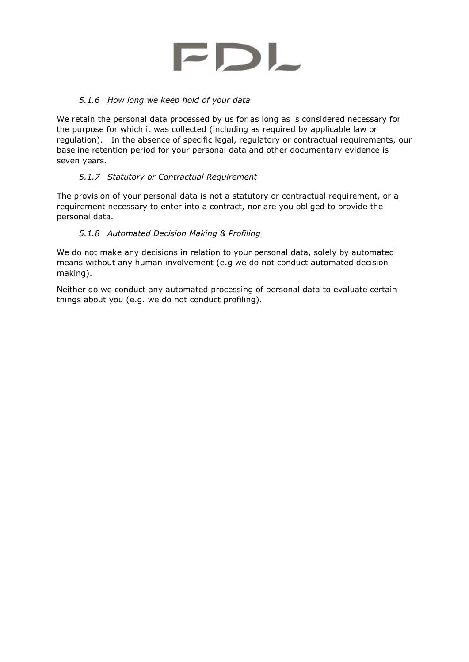

## *5.1.6 How long we keep hold of your data*

<span id="page-6-0"></span>We retain the personal data processed by us for as long as is considered necessary for the purpose for which it was collected (including as required by applicable law or regulation). In the absence of specific legal, regulatory or contractual requirements, our baseline retention period for your personal data and other documentary evidence is seven years.

## *5.1.7 Statutory or Contractual Requirement*

<span id="page-6-1"></span>The provision of your personal data is not a statutory or contractual requirement, or a requirement necessary to enter into a contract, nor are you obliged to provide the personal data.

## *5.1.8 Automated Decision Making & Profiling*

<span id="page-6-3"></span><span id="page-6-2"></span>We do not make any decisions in relation to your personal data, solely by automated means without any human involvement (e.g we do not conduct automated decision making).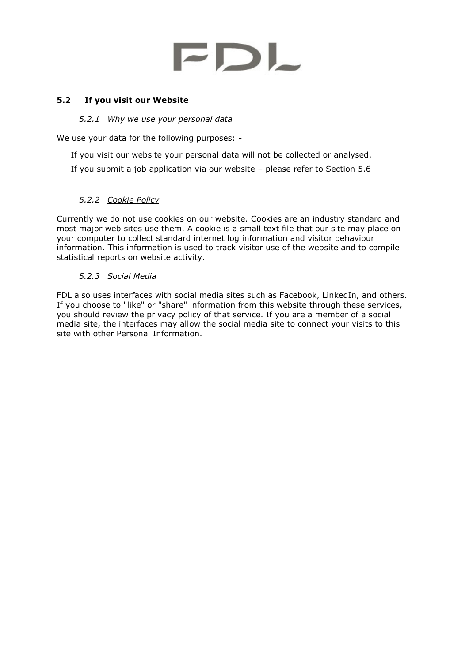#### <span id="page-7-0"></span>**5.2 If you visit our Website**

#### *5.2.1 Why we use your personal data*

<span id="page-7-1"></span>We use your data for the following purposes: -

If you visit our website your personal data will not be collected or analysed.

If you submit a job application via our website – please refer to Section 5.6

## *5.2.2 Cookie Policy*

<span id="page-7-2"></span>Currently we do not use cookies on our website. Cookies are an industry standard and most major web sites use them. A cookie is a small text file that our site may place on your computer to collect standard internet log information and visitor behaviour information. This information is used to track visitor use of the website and to compile statistical reports on website activity.

## *5.2.3 Social Media*

<span id="page-7-3"></span>FDL also uses interfaces with social media sites such as Facebook, LinkedIn, and others. If you choose to "like" or "share" information from this website through these services, you should review the privacy policy of that service. If you are a member of a social media site, the interfaces may allow the social media site to connect your visits to this site with other Personal Information.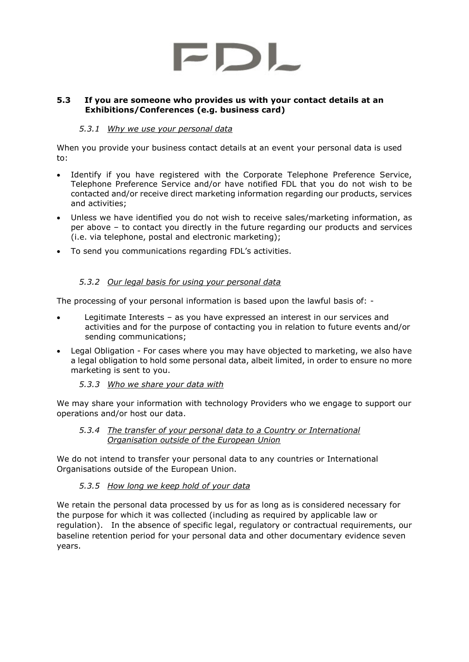

#### <span id="page-8-0"></span>**5.3 If you are someone who provides us with your contact details at an Exhibitions/Conferences (e.g. business card)**

#### *5.3.1 Why we use your personal data*

<span id="page-8-1"></span>When you provide your business contact details at an event your personal data is used to:

- Identify if you have registered with the Corporate Telephone Preference Service, Telephone Preference Service and/or have notified FDL that you do not wish to be contacted and/or receive direct marketing information regarding our products, services and activities;
- Unless we have identified you do not wish to receive sales/marketing information, as per above – to contact you directly in the future regarding our products and services (i.e. via telephone, postal and electronic marketing);
- To send you communications regarding FDL's activities.

## *5.3.2 Our legal basis for using your personal data*

<span id="page-8-2"></span>The processing of your personal information is based upon the lawful basis of: -

- Legitimate Interests as you have expressed an interest in our services and activities and for the purpose of contacting you in relation to future events and/or sending communications;
- Legal Obligation For cases where you may have objected to marketing, we also have a legal obligation to hold some personal data, albeit limited, in order to ensure no more marketing is sent to you.
	- *5.3.3 Who we share your data with*

<span id="page-8-3"></span>We may share your information with technology Providers who we engage to support our operations and/or host our data.

#### <span id="page-8-4"></span>*5.3.4 The transfer of your personal data to a Country or International Organisation outside of the European Union*

We do not intend to transfer your personal data to any countries or International Organisations outside of the European Union.

## *5.3.5 How long we keep hold of your data*

<span id="page-8-5"></span>We retain the personal data processed by us for as long as is considered necessary for the purpose for which it was collected (including as required by applicable law or regulation). In the absence of specific legal, regulatory or contractual requirements, our baseline retention period for your personal data and other documentary evidence seven years.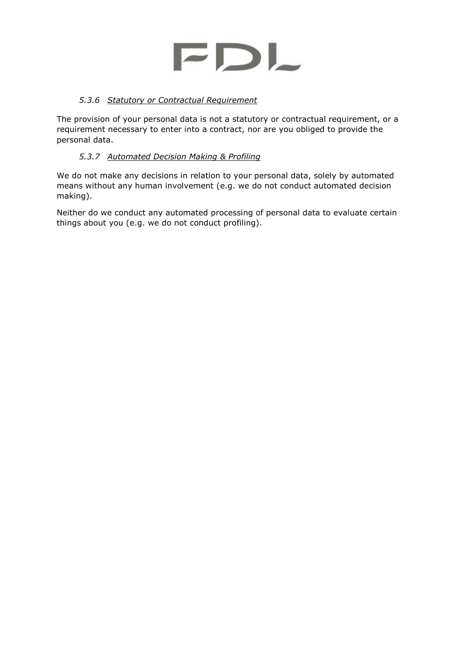

## *5.3.6 Statutory or Contractual Requirement*

<span id="page-9-0"></span>The provision of your personal data is not a statutory or contractual requirement, or a requirement necessary to enter into a contract, nor are you obliged to provide the personal data.

## *5.3.7 Automated Decision Making & Profiling*

<span id="page-9-2"></span><span id="page-9-1"></span>We do not make any decisions in relation to your personal data, solely by automated means without any human involvement (e.g. we do not conduct automated decision making).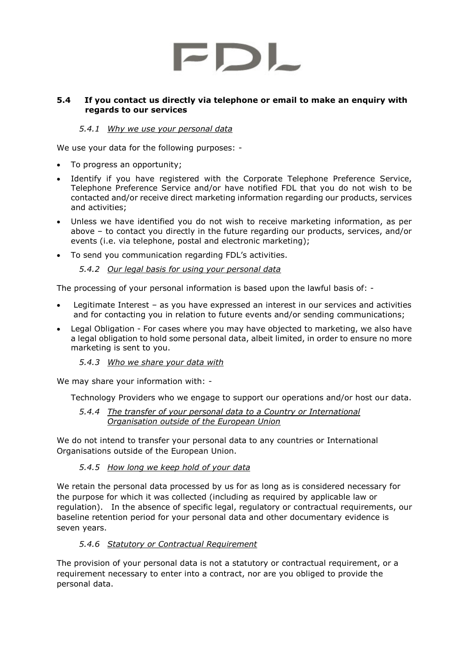#### <span id="page-10-0"></span>**5.4 If you contact us directly via telephone or email to make an enquiry with regards to our services**

## *5.4.1 Why we use your personal data*

<span id="page-10-1"></span>We use your data for the following purposes: -

- To progress an opportunity;
- Identify if you have registered with the Corporate Telephone Preference Service, Telephone Preference Service and/or have notified FDL that you do not wish to be contacted and/or receive direct marketing information regarding our products, services and activities;
- Unless we have identified you do not wish to receive marketing information, as per above – to contact you directly in the future regarding our products, services, and/or events (i.e. via telephone, postal and electronic marketing);
- <span id="page-10-2"></span>• To send you communication regarding FDL's activities.

#### *5.4.2 Our legal basis for using your personal data*

The processing of your personal information is based upon the lawful basis of: -

- Legitimate Interest as you have expressed an interest in our services and activities and for contacting you in relation to future events and/or sending communications;
- Legal Obligation For cases where you may have objected to marketing, we also have a legal obligation to hold some personal data, albeit limited, in order to ensure no more marketing is sent to you.
	- *5.4.3 Who we share your data with*

<span id="page-10-3"></span>We may share your information with: -

<span id="page-10-4"></span>Technology Providers who we engage to support our operations and/or host our data.

*5.4.4 The transfer of your personal data to a Country or International Organisation outside of the European Union*

We do not intend to transfer your personal data to any countries or International Organisations outside of the European Union.

## *5.4.5 How long we keep hold of your data*

<span id="page-10-5"></span>We retain the personal data processed by us for as long as is considered necessary for the purpose for which it was collected (including as required by applicable law or regulation). In the absence of specific legal, regulatory or contractual requirements, our baseline retention period for your personal data and other documentary evidence is seven years.

## *5.4.6 Statutory or Contractual Requirement*

<span id="page-10-6"></span>The provision of your personal data is not a statutory or contractual requirement, or a requirement necessary to enter into a contract, nor are you obliged to provide the personal data.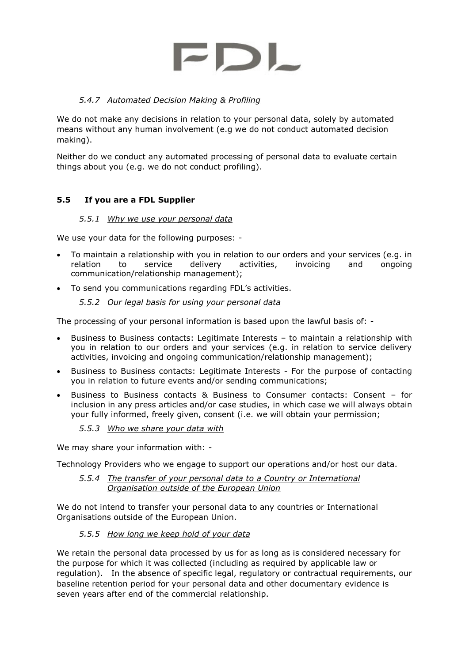## *5.4.7 Automated Decision Making & Profiling*

<span id="page-11-0"></span>We do not make any decisions in relation to your personal data, solely by automated means without any human involvement (e.g we do not conduct automated decision making).

Neither do we conduct any automated processing of personal data to evaluate certain things about you (e.g. we do not conduct profiling).

## <span id="page-11-1"></span>**5.5 If you are a FDL Supplier**

#### *5.5.1 Why we use your personal data*

<span id="page-11-2"></span>We use your data for the following purposes: -

- To maintain a relationship with you in relation to our orders and your services (e.g. in relation to service delivery activities, invoicing and ongoing communication/relationship management);
- <span id="page-11-3"></span>• To send you communications regarding FDL's activities.

#### *5.5.2 Our legal basis for using your personal data*

The processing of your personal information is based upon the lawful basis of: -

- Business to Business contacts: Legitimate Interests to maintain a relationship with you in relation to our orders and your services (e.g. in relation to service delivery activities, invoicing and ongoing communication/relationship management);
- Business to Business contacts: Legitimate Interests For the purpose of contacting you in relation to future events and/or sending communications;
- Business to Business contacts & Business to Consumer contacts: Consent for inclusion in any press articles and/or case studies, in which case we will always obtain your fully informed, freely given, consent (i.e. we will obtain your permission;

#### *5.5.3 Who we share your data with*

<span id="page-11-4"></span>We may share your information with: -

<span id="page-11-5"></span>Technology Providers who we engage to support our operations and/or host our data.

#### *5.5.4 The transfer of your personal data to a Country or International Organisation outside of the European Union*

We do not intend to transfer your personal data to any countries or International Organisations outside of the European Union.

#### *5.5.5 How long we keep hold of your data*

<span id="page-11-6"></span>We retain the personal data processed by us for as long as is considered necessary for the purpose for which it was collected (including as required by applicable law or regulation). In the absence of specific legal, regulatory or contractual requirements, our baseline retention period for your personal data and other documentary evidence is seven years after end of the commercial relationship.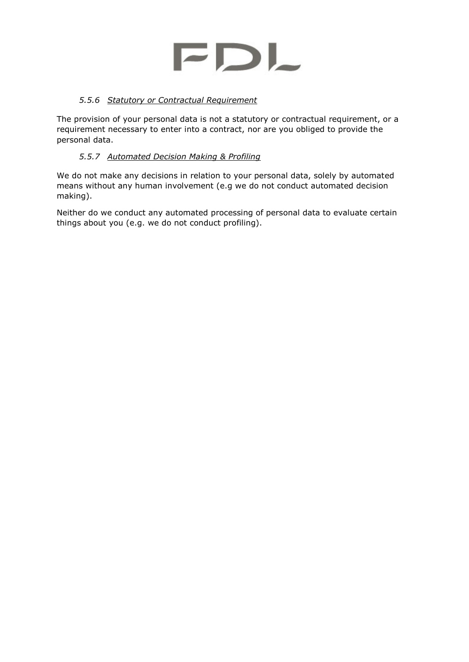

## *5.5.6 Statutory or Contractual Requirement*

<span id="page-12-0"></span>The provision of your personal data is not a statutory or contractual requirement, or a requirement necessary to enter into a contract, nor are you obliged to provide the personal data.

## *5.5.7 Automated Decision Making & Profiling*

<span id="page-12-2"></span><span id="page-12-1"></span>We do not make any decisions in relation to your personal data, solely by automated means without any human involvement (e.g we do not conduct automated decision making).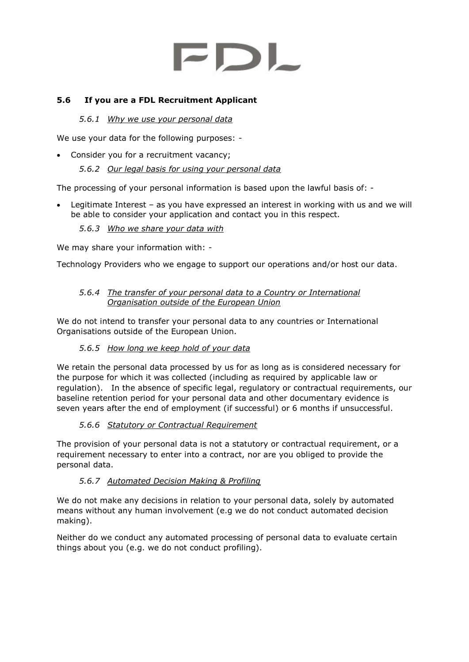## <span id="page-13-1"></span><span id="page-13-0"></span>**5.6 If you are a FDL Recruitment Applicant**

#### *5.6.1 Why we use your personal data*

We use your data for the following purposes: -

<span id="page-13-2"></span>• Consider you for a recruitment vacancy;

#### *5.6.2 Our legal basis for using your personal data*

The processing of your personal information is based upon the lawful basis of: -

• Legitimate Interest – as you have expressed an interest in working with us and we will be able to consider your application and contact you in this respect.

#### *5.6.3 Who we share your data with*

<span id="page-13-3"></span>We may share your information with: -

Technology Providers who we engage to support our operations and/or host our data.

#### <span id="page-13-4"></span>*5.6.4 The transfer of your personal data to a Country or International Organisation outside of the European Union*

We do not intend to transfer your personal data to any countries or International Organisations outside of the European Union.

## *5.6.5 How long we keep hold of your data*

<span id="page-13-5"></span>We retain the personal data processed by us for as long as is considered necessary for the purpose for which it was collected (including as required by applicable law or regulation). In the absence of specific legal, regulatory or contractual requirements, our baseline retention period for your personal data and other documentary evidence is seven years after the end of employment (if successful) or 6 months if unsuccessful.

## *5.6.6 Statutory or Contractual Requirement*

<span id="page-13-6"></span>The provision of your personal data is not a statutory or contractual requirement, or a requirement necessary to enter into a contract, nor are you obliged to provide the personal data.

## *5.6.7 Automated Decision Making & Profiling*

<span id="page-13-8"></span><span id="page-13-7"></span>We do not make any decisions in relation to your personal data, solely by automated means without any human involvement (e.g we do not conduct automated decision making).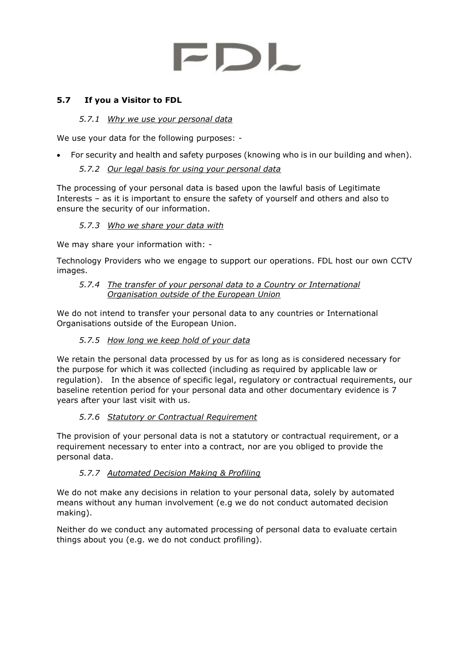## <span id="page-14-0"></span>**5.7 If you a Visitor to FDL**

## *5.7.1 Why we use your personal data*

<span id="page-14-1"></span>We use your data for the following purposes: -

<span id="page-14-2"></span>• For security and health and safety purposes (knowing who is in our building and when).

## *5.7.2 Our legal basis for using your personal data*

The processing of your personal data is based upon the lawful basis of Legitimate Interests – as it is important to ensure the safety of yourself and others and also to ensure the security of our information.

## *5.7.3 Who we share your data with*

<span id="page-14-3"></span>We may share your information with: -

<span id="page-14-4"></span>Technology Providers who we engage to support our operations. FDL host our own CCTV images.

#### *5.7.4 The transfer of your personal data to a Country or International Organisation outside of the European Union*

We do not intend to transfer your personal data to any countries or International Organisations outside of the European Union.

## *5.7.5 How long we keep hold of your data*

<span id="page-14-5"></span>We retain the personal data processed by us for as long as is considered necessary for the purpose for which it was collected (including as required by applicable law or regulation). In the absence of specific legal, regulatory or contractual requirements, our baseline retention period for your personal data and other documentary evidence is 7 years after your last visit with us.

## *5.7.6 Statutory or Contractual Requirement*

<span id="page-14-6"></span>The provision of your personal data is not a statutory or contractual requirement, or a requirement necessary to enter into a contract, nor are you obliged to provide the personal data.

## *5.7.7 Automated Decision Making & Profiling*

<span id="page-14-7"></span>We do not make any decisions in relation to your personal data, solely by automated means without any human involvement (e.g we do not conduct automated decision making).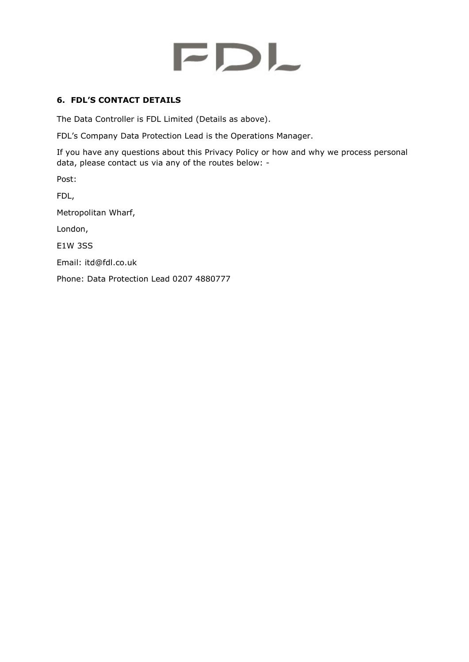## <span id="page-15-0"></span>**6. FDL'S CONTACT DETAILS**

The Data Controller is FDL Limited (Details as above).

FDL's Company Data Protection Lead is the Operations Manager.

If you have any questions about this Privacy Policy or how and why we process personal data, please contact us via any of the routes below: -

Post:

FDL,

Metropolitan Wharf,

London,

E1W 3SS

Email: itd@fdl.co.uk

<span id="page-15-1"></span>Phone: Data Protection Lead 0207 4880777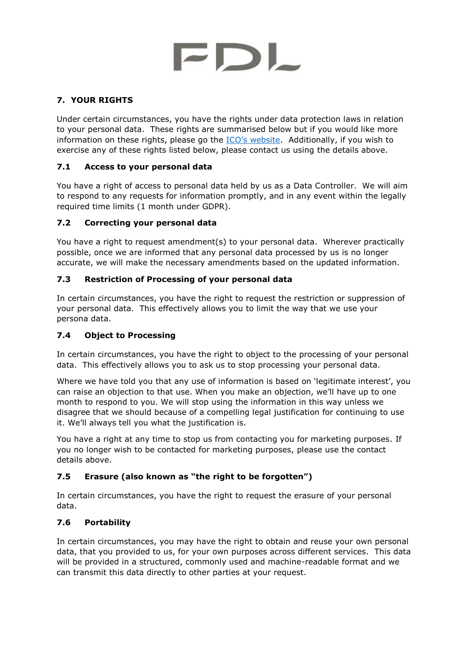## <span id="page-16-0"></span>**7. YOUR RIGHTS**

Under certain circumstances, you have the rights under data protection laws in relation to your personal data. These rights are summarised below but if you would like more information on these rights, please go the **[ICO's website](https://ico.org.uk/for-organisations/guide-to-the-general-data-protection-regulation-gdpr/individual-rights/).** Additionally, if you wish to exercise any of these rights listed below, please contact us using the details above.

## <span id="page-16-1"></span>**7.1 Access to your personal data**

You have a right of access to personal data held by us as a Data Controller. We will aim to respond to any requests for information promptly, and in any event within the legally required time limits (1 month under GDPR).

## <span id="page-16-2"></span>**7.2 Correcting your personal data**

You have a right to request amendment(s) to your personal data. Wherever practically possible, once we are informed that any personal data processed by us is no longer accurate, we will make the necessary amendments based on the updated information.

## <span id="page-16-3"></span>**7.3 Restriction of Processing of your personal data**

In certain circumstances, you have the right to request the restriction or suppression of your personal data. This effectively allows you to limit the way that we use your persona data.

## <span id="page-16-4"></span>**7.4 Object to Processing**

In certain circumstances, you have the right to object to the processing of your personal data. This effectively allows you to ask us to stop processing your personal data.

Where we have told you that any use of information is based on 'legitimate interest', you can raise an objection to that use. When you make an objection, we'll have up to one month to respond to you. We will stop using the information in this way unless we disagree that we should because of a compelling legal justification for continuing to use it. We'll always tell you what the justification is.

You have a right at any time to stop us from contacting you for marketing purposes. If you no longer wish to be contacted for marketing purposes, please use the contact details above.

## <span id="page-16-5"></span>**7.5 Erasure (also known as "the right to be forgotten")**

In certain circumstances, you have the right to request the erasure of your personal data.

## <span id="page-16-6"></span>**7.6 Portability**

In certain circumstances, you may have the right to obtain and reuse your own personal data, that you provided to us, for your own purposes across different services. This data will be provided in a structured, commonly used and machine-readable format and we can transmit this data directly to other parties at your request.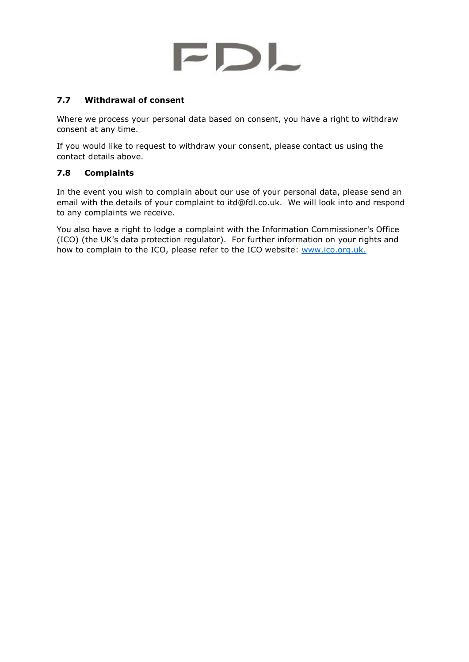## <span id="page-17-0"></span>**7.7 Withdrawal of consent**

Where we process your personal data based on consent, you have a right to withdraw consent at any time.

If you would like to request to withdraw your consent, please contact us using the contact details above.

## <span id="page-17-1"></span>**7.8 Complaints**

In the event you wish to complain about our use of your personal data, please send an email with the details of your complaint to itd@fdl.co.uk. We will look into and respond to any complaints we receive.

<span id="page-17-2"></span>You also have a right to lodge a complaint with the Information Commissioner's Office (ICO) (the UK's data protection regulator). For further information on your rights and how to complain to the ICO, please refer to the ICO website: [www.ico.org.uk.](http://www.ico.org.uk/)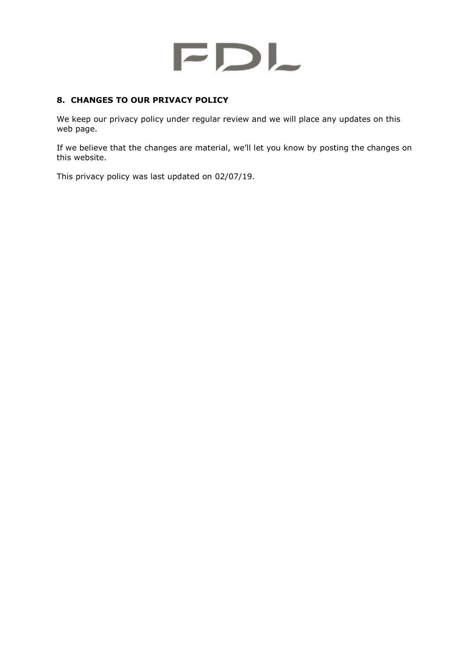## <span id="page-18-0"></span>**8. CHANGES TO OUR PRIVACY POLICY**

We keep our privacy policy under regular review and we will place any updates on this web page.

If we believe that the changes are material, we'll let you know by posting the changes on this website.

This privacy policy was last updated on 02/07/19.